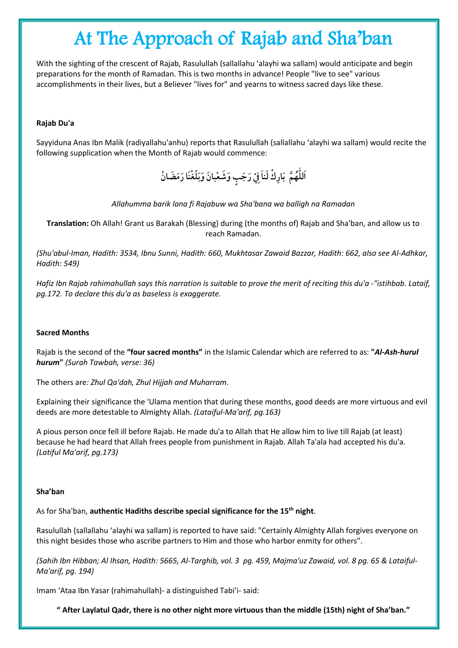# At The Approach of Rajab and Sha'ban

With the sighting of the crescent of Rajab, Rasulullah (sallallahu 'alayhi wa sallam) would anticipate and begin preparations for the month of Ramadan. This is two months in advance! People "live to see" various accomplishments in their lives, but a Believer "lives for" and yearns to witness sacred days like these.

## **Rajab Du'a**

Sayyiduna Anas Ibn Malik (radiyallahu'anhu) reports that Rasulullah (sallallahu 'alayhi wa sallam) would recite the following supplication when the Month of Rajab would commence:

> اَللّٰهُمَّ بَارِكْ لَناَفِيْ رَجَبِ وَشَعْبانَ وَبَلّغْنَا رَمَضَانْ **ّٰ**

#### *Allahumma barik lana fi Rajabuw wa Sha'bana wa balligh na Ramadan*

**Translation:** Oh Allah! Grant us Barakah (Blessing) during (the months of) Rajab and Sha'ban, and allow us to reach Ramadan.

*(Shu'abul-Iman, Hadith: 3534, Ibnu Sunni, Hadith: 660, Mukhtasar Zawaid Bazzar, Hadith: 662, also see Al-Adhkar, Hadith: 549)*

*Hafiz Ibn Rajab rahimahullah says this narration is suitable to prove the merit of reciting this du'a -"istihbab. Lataif, pg.172. To declare this du'a as baseless is exaggerate.*

#### **Sacred Months**

Rajab is the second of the **"four sacred months"** in the Islamic Calendar which are referred to as: **"***Al-Ash-hurul hurum***"** *(Surah Tawbah, verse: 36)*

The others are*: Zhul Qa'dah, Zhul Hijjah and Muharram*.

Explaining their significance the 'Ulama mention that during these months, good deeds are more virtuous and evil deeds are more detestable to Almighty Allah. *(Lataiful-Ma'arif, pg.163)*

A pious person once fell ill before Rajab. He made du'a to Allah that He allow him to live till Rajab (at least) because he had heard that Allah frees people from punishment in Rajab. Allah Ta'ala had accepted his du'a. *(Latiful Ma'arif, pg.173)*

#### **Sha'ban**

As for Sha'ban, **authentic Hadiths describe special significance for the 15th night**.

Rasulullah (sallallahu 'alayhi wa sallam) is reported to have said: "Certainly Almighty Allah forgives everyone on this night besides those who ascribe partners to Him and those who harbor enmity for others".

*(Sahih Ibn Hibban; Al Ihsan, Hadith: 5665, Al-Targhib, vol. 3 pg. 459, Majma'uz Zawaid, vol. 8 pg. 65 & Lataiful-Ma'arif, pg. 194)*

Imam 'Ataa Ibn Yasar (rahimahullah)- a distinguished Tabi'i- said:

**" After Laylatul Qadr, there is no other night more virtuous than the middle (15th) night of Sha'ban."**